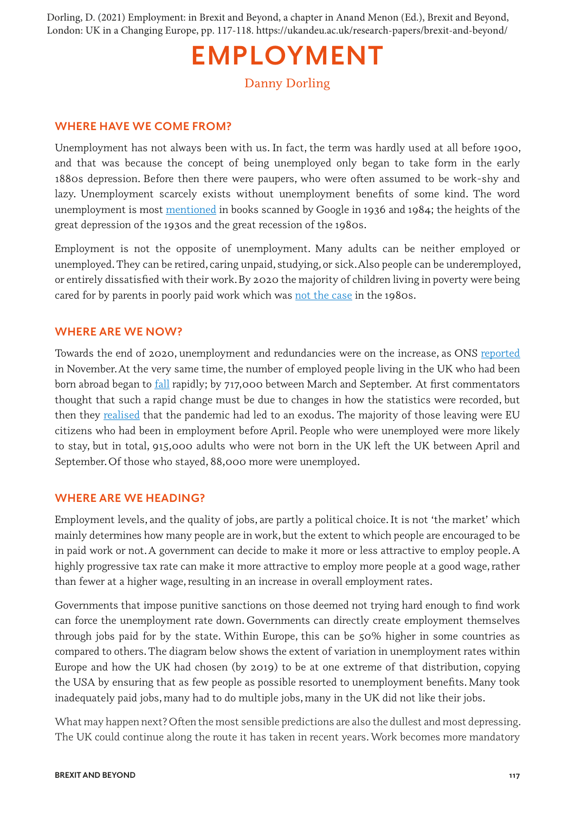Dorling, D. (2021) Employment: in Brexit and Beyond, a chapter in Anand Menon (Ed.), Brexit and Beyond, London: UK in a Changing Europe, pp. 117-118. https://ukandeu.ac.uk/research-papers/brexit-and-beyond/

## **EMPLOYMENT**

Danny Dorling

## **WHERE HAVE WE COME FROM?**

Unemployment has not always been with us. In fact, the term was hardly used at all before 1900, and that was because the concept of being unemployed only began to take form in the early 1880s depression. Before then there were paupers, who were often assumed to be work-shy and lazy. Unemployment scarcely exists without unemployment benefits of some kind. The word unemployment is most [mentioned](https://books.google.com/ngrams/graph?content=unemployment%2Cemployment&year_start=1855&year_end=2019&corpus=15&smoothing=3&direct_url=t1%3B%2Cunemployment%3B%2Cc0%3B.t1%3B%2Cemployment%3B%2Cc0#t1%3B%2Cunemployment%3B%2Cc0%3B.t1%3B%2Cemployment%3B%2Cc0) in books scanned by Google in 1936 and 1984; the heights of the great depression of the 1930s and the great recession of the 1980s.

Employment is not the opposite of unemployment. Many adults can be neither employed or unemployed. They can be retired, caring unpaid, studying, or sick. Also people can be underemployed, or entirely dissatisfied with their work. By 2020 the majority of children living in poverty were being cared for by parents in poorly paid work which was [not the case](https://www.theguardian.com/society/2020/nov/14/this-photo-of-children-living-in-poverty-caused-shock-waves-in-1992-where-are-they-now) in the 1980s.

## **WHERE ARE WE NOW?**

Towards the end of 2020, unemployment and redundancies were on the increase, as ONS [reported](https://www.ons.gov.uk/employmentandlabourmarket/peopleinwork/employmentandemployeetypes/bulletins/employmentintheuk/november2020) in November. At the very same time, the number of employed people living in the UK who had been born abroad began to **fall** rapidly; by 717,000 between March and September. At first commentators thought that such a rapid change must be due to changes in how the statistics were recorded, but then they [realised](https://ukandeu.ac.uk/labour-force-survey-the-mystery-of-the-shrinking-migrant-workforce/) that the pandemic had led to an exodus. The majority of those leaving were EU citizens who had been in employment before April. People who were unemployed were more likely to stay, but in total, 915,000 adults who were not born in the UK left the UK between April and September. Of those who stayed, 88,000 more were unemployed.

## **WHERE ARE WE HEADING?**

Employment levels, and the quality of jobs, are partly a political choice. It is not 'the market' which mainly determines how many people are in work, but the extent to which people are encouraged to be in paid work or not. A government can decide to make it more or less attractive to employ people. A highly progressive tax rate can make it more attractive to employ more people at a good wage, rather than fewer at a higher wage, resulting in an increase in overall employment rates.

Governments that impose punitive sanctions on those deemed not trying hard enough to find work can force the unemployment rate down. Governments can directly create employment themselves through jobs paid for by the state. Within Europe, this can be 50% higher in some countries as compared to others. The diagram below shows the extent of variation in unemployment rates within Europe and how the UK had chosen (by 2019) to be at one extreme of that distribution, copying the USA by ensuring that as few people as possible resorted to unemployment benefits. Many took inadequately paid jobs, many had to do multiple jobs, many in the UK did not like their jobs.

What may happen next? Often the most sensible predictions are also the dullest and most depressing. The UK could continue along the route it has taken in recent years. Work becomes more mandatory